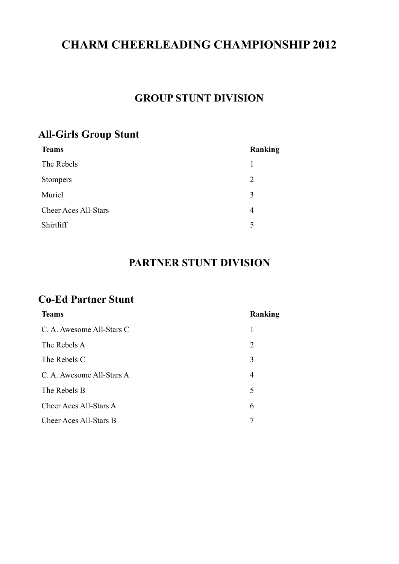# **CHARM CHEERLEADING CHAMPIONSHIP 2012**

#### **GROUP STUNT DIVISION**

#### **All-Girls Group Stunt**

| <b>Teams</b>                | <b>Ranking</b> |
|-----------------------------|----------------|
| The Rebels                  | 1              |
| <b>Stompers</b>             | 2              |
| Muriel                      | 3              |
| <b>Cheer Aces All-Stars</b> | 4              |
| Shirtliff                   | 5              |
|                             |                |

#### **PARTNER STUNT DIVISION**

#### **Co-Ed Partner Stunt**

| <b>Teams</b>              | Ranking |
|---------------------------|---------|
| C. A. Awesome All-Stars C | 1       |
| The Rebels A              | 2       |
| The Rebels C              | 3       |
| C. A. Awesome All-Stars A | 4       |
| The Rebels B              | 5       |
| Cheer Aces All-Stars A    | 6       |
| Cheer Aces All-Stars B    |         |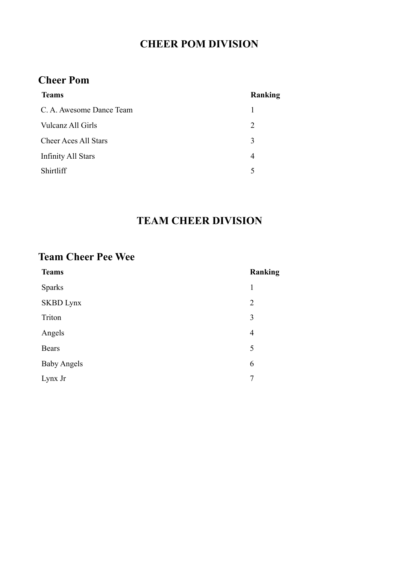### **CHEER POM DIVISION**

#### **Cheer Pom**

| <b>Teams</b>                | Ranking |
|-----------------------------|---------|
| C. A. Awesome Dance Team    |         |
| Vulcanz All Girls           | 2       |
| <b>Cheer Aces All Stars</b> | 3       |
| <b>Infinity All Stars</b>   | 4       |
| <b>Shirtliff</b>            | 5       |

## **TEAM CHEER DIVISION**

#### **Team Cheer Pee Wee**

| <b>Teams</b>       | Ranking        |
|--------------------|----------------|
| <b>Sparks</b>      | 1              |
| <b>SKBD</b> Lynx   | $\overline{2}$ |
| Triton             | 3              |
| Angels             | $\overline{4}$ |
| <b>Bears</b>       | 5              |
| <b>Baby Angels</b> | 6              |
| Lynx Jr            | 7              |
|                    |                |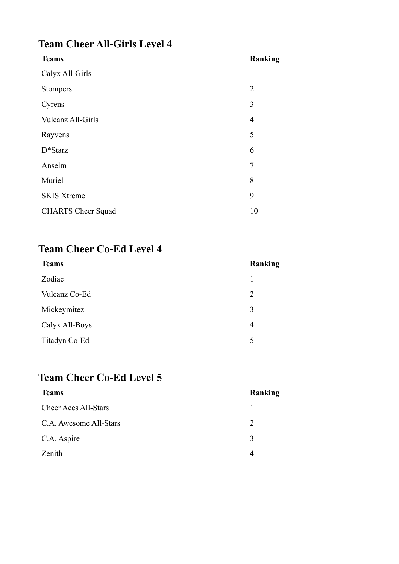## **Team Cheer All-Girls Level 4**

| Ranking        |
|----------------|
| 1              |
| $\overline{2}$ |
| 3              |
| $\overline{4}$ |
| 5              |
| 6              |
| $\overline{7}$ |
| 8              |
| 9              |
| 10             |
|                |

# **Team Cheer Co-Ed Level 4**

| <b>Teams</b>   | Ranking |
|----------------|---------|
| Zodiac         |         |
| Vulcanz Co-Ed  | 2       |
| Mickeymitez    | 3       |
| Calyx All-Boys | 4       |
| Titadyn Co-Ed  | 5       |

## **Team Cheer Co-Ed Level 5**

| <b>Teams</b>                | Ranking                     |
|-----------------------------|-----------------------------|
| <b>Cheer Aces All-Stars</b> |                             |
| C.A. Awesome All-Stars      | $\mathcal{D}_{\mathcal{A}}$ |
| C.A. Aspire                 | 3                           |
| Zenith                      |                             |